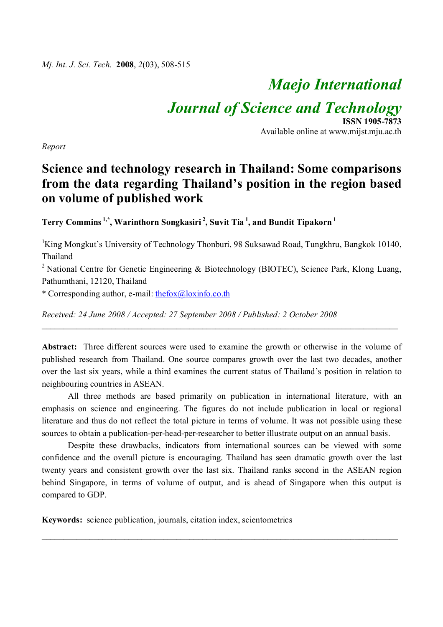# *Maejo International*

*Journal of Science and Technology*

**ISSN 1905-7873** Available online at www.mijst.mju.ac.th

*Report*

# **Science and technology research in Thailand: Some comparisons from the data regarding Thailand's position in the region based on volume of published work**

**Terry Commins 1,\* , Warinthorn Songkasiri <sup>2</sup> , Suvit Tia <sup>1</sup> , and Bundit Tipakorn <sup>1</sup>**

<sup>1</sup>King Mongkut's University of Technology Thonburi, 98 Suksawad Road, Tungkhru, Bangkok 10140, Thailand

<sup>2</sup> National Centre for Genetic Engineering & Biotechnology (BIOTEC), Science Park, Klong Luang, Pathumthani, 12120, Thailand

\* Corresponding author, e-mail:  $\frac{\text{thefox}(a)\text{loginfo.co.th}}{\text{thefox}(a)}$ 

*Received: 24 June 2008 / Accepted: 27 September 2008 / Published: 2 October 2008*

**Abstract:** Three different sources were used to examine the growth or otherwise in the volume of published research from Thailand. One source compares growth over the last two decades, another over the last six years, while a third examines the current status of Thailand's position in relation to neighbouring countries in ASEAN.

\_\_\_\_\_\_\_\_\_\_\_\_\_\_\_\_\_\_\_\_\_\_\_\_\_\_\_\_\_\_\_\_\_\_\_\_\_\_\_\_\_\_\_\_\_\_\_\_\_\_\_\_\_\_\_\_\_\_\_\_\_\_\_\_\_\_\_\_\_\_\_\_\_\_\_\_\_\_\_\_\_\_

All three methods are based primarily on publication in international literature, with an emphasis on science and engineering. The figures do not include publication in local or regional literature and thus do not reflect the total picture in terms of volume. It was not possible using these sources to obtain a publication-per-head-per-researcher to better illustrate output on an annual basis.

Despite these drawbacks, indicators from international sources can be viewed with some confidence and the overall picture is encouraging. Thailand has seen dramatic growth over the last twenty years and consistent growth over the last six. Thailand ranks second in the ASEAN region behind Singapore, in terms of volume of output, and is ahead of Singapore when this output is compared to GDP.

 $\_$  , and the set of the set of the set of the set of the set of the set of the set of the set of the set of the set of the set of the set of the set of the set of the set of the set of the set of the set of the set of th

**Keywords:** science publication, journals, citation index, scientometrics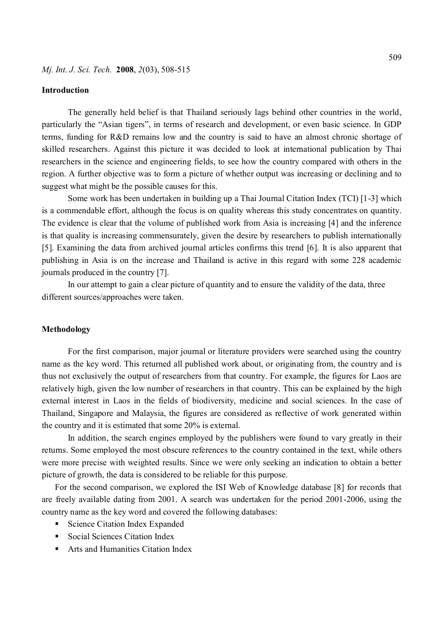#### **Introduction**

The generally held belief is that Thailand seriously lags behind other countries in the world, particularly the "Asian tigers", in terms of research and development, or even basic science. In GDP terms, funding for R&D remains low and the country is said to have an almost chronic shortage of skilled researchers. Against this picture it was decided to look at international publication by Thai researchers in the science and engineering fields, to see how the country compared with others in the region. A further objective was to form a picture of whether output was increasing or declining and to suggest what might be the possible causes for this.

Some work has been undertaken in building up a Thai Journal Citation Index (TCI) [1-3] which is a commendable effort, although the focus is on quality whereas this study concentrates on quantity. The evidence is clear that the volume of published work from Asia is increasing [4] and the inference is that quality is increasing commensurately, given the desire by researchers to publish internationally [5]. Examining the data from archived journal articles confirms this trend [6]. It is also apparent that publishing in Asia is on the increase and Thailand is active in this regard with some 228 academic journals produced in the country [7].

In our attempt to gain a clear picture of quantity and to ensure the validity of the data, three different sources/approaches were taken.

#### **Methodology**

For the first comparison, major journal or literature providers were searched using the country name as the key word. This returned all published work about, or originating from, the country and is thus not exclusively the output of researchers from that country. For example, the figures for Laos are relatively high, given the low number of researchers in that country. This can be explained by the high external interest in Laos in the fields of biodiversity, medicine and social sciences. In the case of Thailand, Singapore and Malaysia, the figures are considered as reflective of work generated within the country and it is estimated that some 20% is external.

In addition, the search engines employed by the publishers were found to vary greatly in their returns. Some employed the most obscure references to the country contained in the text, while others were more precise with weighted results. Since we were only seeking an indication to obtain a better picture of growth, the data is considered to be reliable for this purpose.

For the second comparison, we explored the ISI Web of Knowledge database [8] for records that are freely available dating from 2001. A search was undertaken for the period 2001-2006, using the country name as the key word and covered the following databases:

- Science Citation Index Expanded
- Social Sciences Citation Index
- Arts and Humanities Citation Index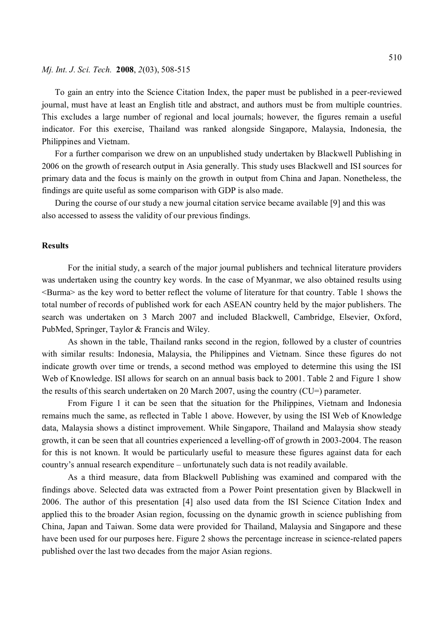#### *Mj. Int. J. Sci. Tech.* **2008**, *2*(03), 508-515

To gain an entry into the Science Citation Index, the paper must be published in a peer-reviewed journal, must have at least an English title and abstract, and authors must be from multiple countries. This excludes a large number of regional and local journals; however, the figures remain a useful indicator. For this exercise, Thailand was ranked alongside Singapore, Malaysia, Indonesia, the Philippines and Vietnam.

For a further comparison we drew on an unpublished study undertaken by Blackwell Publishing in 2006 on the growth of research output in Asia generally. This study uses Blackwell and ISI sources for primary data and the focus is mainly on the growth in output from China and Japan. Nonetheless, the findings are quite useful as some comparison with GDP is also made.

During the course of our study a new journal citation service became available [9] and this was also accessed to assess the validity of our previous findings.

#### **Results**

For the initial study, a search of the major journal publishers and technical literature providers was undertaken using the country key words. In the case of Myanmar, we also obtained results using <Burma> as the key word to better reflect the volume of literature for that country. Table 1 shows the total number of records of published work for each ASEAN country held by the major publishers. The search was undertaken on 3 March 2007 and included Blackwell, Cambridge, Elsevier, Oxford, PubMed, Springer, Taylor & Francis and Wiley.

As shown in the table, Thailand ranks second in the region, followed by a cluster of countries with similar results: Indonesia, Malaysia, the Philippines and Vietnam. Since these figures do not indicate growth over time or trends, a second method was employed to determine this using the ISI Web of Knowledge. ISI allows for search on an annual basis back to 2001. Table 2 and Figure 1 show the results of this search undertaken on 20 March 2007, using the country (CU=) parameter.

From Figure 1 it can be seen that the situation for the Philippines, Vietnam and Indonesia remains much the same, as reflected in Table 1 above. However, by using the ISI Web of Knowledge data, Malaysia shows a distinct improvement. While Singapore, Thailand and Malaysia show steady growth, it can be seen that all countries experienced a levelling-off of growth in 2003-2004. The reason for this is not known. It would be particularly useful to measure these figures against data for each country's annual research expenditure – unfortunately such data is not readily available.

As a third measure, data from Blackwell Publishing was examined and compared with the findings above. Selected data was extracted from a Power Point presentation given by Blackwell in 2006. The author of this presentation [4] also used data from the ISI Science Citation Index and applied this to the broader Asian region, focussing on the dynamic growth in science publishing from China, Japan and Taiwan. Some data were provided for Thailand, Malaysia and Singapore and these have been used for our purposes here. Figure 2 shows the percentage increase in science-related papers published over the last two decades from the major Asian regions.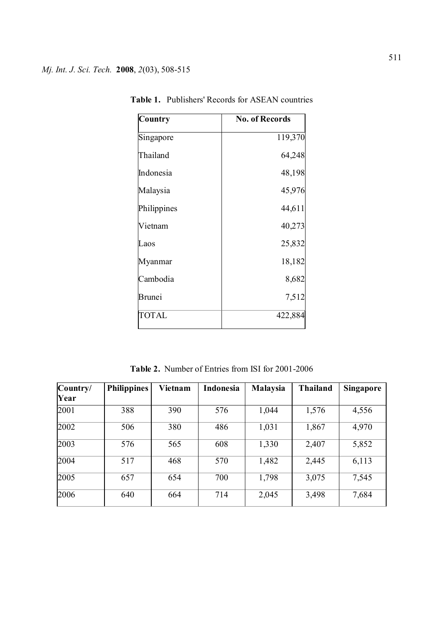| Country      | <b>No. of Records</b> |
|--------------|-----------------------|
| Singapore    | 119,370               |
| Thailand     | 64,248                |
| Indonesia    | 48,198                |
| Malaysia     | 45,976                |
| Philippines  | 44,611                |
| Vietnam      | 40,273                |
| Laos         | 25,832                |
| Myanmar      | 18,182                |
| Cambodia     | 8,682                 |
| Brunei       | 7,512                 |
| <b>TOTAL</b> | 422,884               |

**Table 1.** Publishers' Records for ASEAN countries

**Table 2.** Number of Entries from ISI for 2001-2006

| Country/ | <b>Philippines</b> | Vietnam | Indonesia | <b>Malaysia</b> | <b>Thailand</b> | Singapore |
|----------|--------------------|---------|-----------|-----------------|-----------------|-----------|
| Year     |                    |         |           |                 |                 |           |
| 2001     | 388                | 390     | 576       | 1,044           | 1,576           | 4,556     |
| 2002     | 506                | 380     | 486       | 1,031           | 1,867           | 4,970     |
| 2003     | 576                | 565     | 608       | 1,330           | 2,407           | 5,852     |
| 2004     | 517                | 468     | 570       | 1,482           | 2,445           | 6,113     |
| 2005     | 657                | 654     | 700       | 1,798           | 3,075           | 7,545     |
| 2006     | 640                | 664     | 714       | 2,045           | 3,498           | 7,684     |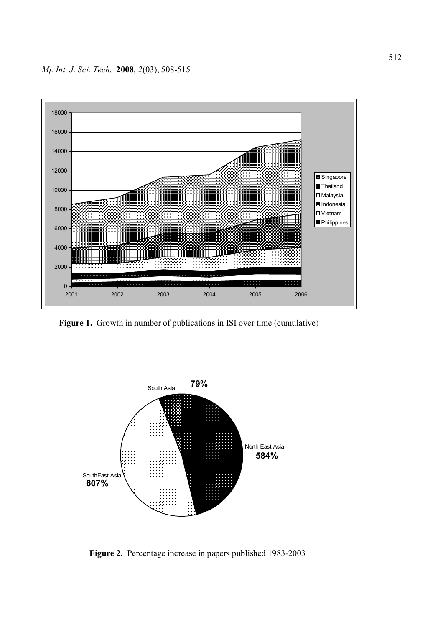

**Figure 1.** Growth in number of publications in ISI over time (cumulative)



 **Figure 2.** Percentage increase in papers published 1983-2003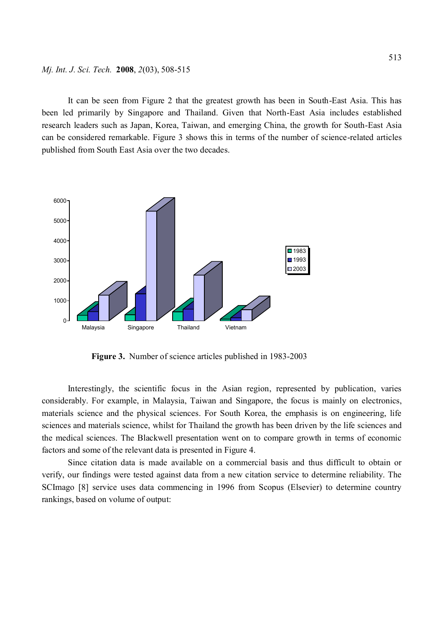It can be seen from Figure 2 that the greatest growth has been in South-East Asia. This has been led primarily by Singapore and Thailand. Given that North-East Asia includes established research leaders such as Japan, Korea, Taiwan, and emerging China, the growth for South-East Asia can be considered remarkable. Figure 3 shows this in terms of the number of science-related articles published from South East Asia over the two decades.



 **Figure 3.** Number of science articles published in 1983-2003

Interestingly, the scientific focus in the Asian region, represented by publication, varies considerably. For example, in Malaysia, Taiwan and Singapore, the focus is mainly on electronics, materials science and the physical sciences. For South Korea, the emphasis is on engineering, life sciences and materials science, whilst for Thailand the growth has been driven by the life sciences and the medical sciences. The Blackwell presentation went on to compare growth in terms of economic factors and some of the relevant data is presented in Figure 4.

Since citation data is made available on a commercial basis and thus difficult to obtain or verify, our findings were tested against data from a new citation service to determine reliability. The SCImago [8] service uses data commencing in 1996 from Scopus (Elsevier) to determine country rankings, based on volume of output: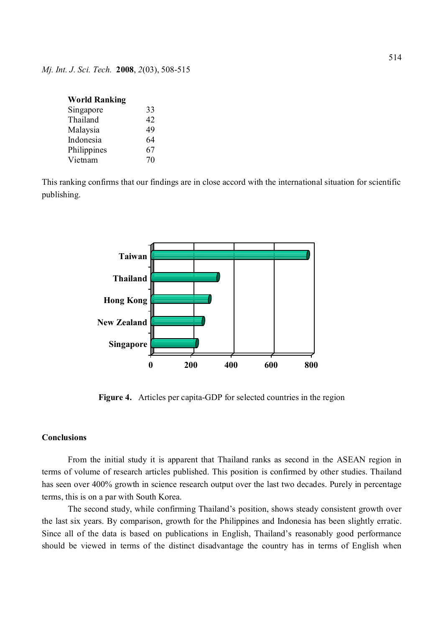| <b>World Ranking</b> |    |
|----------------------|----|
| Singapore            | 33 |
| Thailand             | 42 |
| Malaysia             | 49 |
| Indonesia            | 64 |
| Philippines          | 67 |
| Vietnam              | 70 |

This ranking confirms that our findings are in close accord with the international situation for scientific publishing.



**Figure 4.** Articles per capita-GDP for selected countries in the region

## **Conclusions**

From the initial study it is apparent that Thailand ranks as second in the ASEAN region in terms of volume of research articles published. This position is confirmed by other studies. Thailand has seen over 400% growth in science research output over the last two decades. Purely in percentage terms, this is on a par with South Korea.

The second study, while confirming Thailand's position, shows steady consistent growth over the last six years. By comparison, growth for the Philippines and Indonesia has been slightly erratic. Since all of the data is based on publications in English, Thailand's reasonably good performance should be viewed in terms of the distinct disadvantage the country has in terms of English when